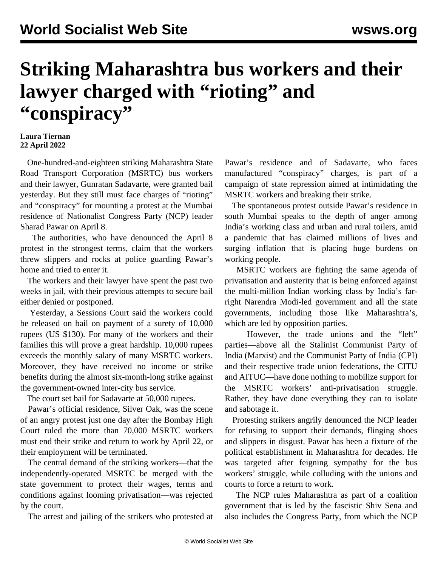## **Striking Maharashtra bus workers and their lawyer charged with "rioting" and "conspiracy"**

## **Laura Tiernan 22 April 2022**

 One-hundred-and-eighteen striking Maharashtra State Road Transport Corporation (MSRTC) bus workers and their lawyer, Gunratan Sadavarte, were granted bail yesterday. But they still must face charges of "rioting" and "conspiracy" for mounting a protest at the Mumbai residence of Nationalist Congress Party (NCP) leader Sharad Pawar on April 8.

 The authorities, who have denounced the April 8 protest in the strongest terms, claim that the workers threw slippers and rocks at police guarding Pawar's home and tried to enter it.

 The workers and their lawyer have spent the past two weeks in jail, with their previous attempts to secure bail either denied or postponed.

 Yesterday, a Sessions Court said the workers could be released on bail on payment of a surety of 10,000 rupees (US \$130). For many of the workers and their families this will prove a great hardship. 10,000 rupees exceeds the monthly salary of many MSRTC workers. Moreover, they have received no income or strike benefits during the almost six-month-long strike against the government-owned inter-city bus service.

The court set bail for Sadavarte at 50,000 rupees.

 Pawar's official residence, Silver Oak, was the scene of an angry protest just one day after the Bombay High Court ruled the more than 70,000 MSRTC workers must end their strike and return to work by April 22, or their employment will be terminated.

 The central demand of the striking workers—that the independently-operated MSRTC be merged with the state government to protect their wages, terms and conditions against looming privatisation—was rejected by the court.

The arrest and jailing of the strikers who protested at

Pawar's residence and of Sadavarte, who faces manufactured "conspiracy" charges, is part of a campaign of state repression aimed at intimidating the MSRTC workers and breaking their strike.

 The spontaneous protest outside Pawar's residence in south Mumbai speaks to the depth of anger among India's working class and urban and rural toilers, amid a pandemic that has claimed millions of lives and surging inflation that is placing huge burdens on working people.

 MSRTC workers are fighting the same agenda of privatisation and austerity that is being enforced against the multi-million Indian working class by India's farright Narendra Modi-led government and all the state governments, including those like Maharashtra's, which are led by opposition parties.

 However, the trade unions and the "left" parties—above all the Stalinist Communist Party of India (Marxist) and the Communist Party of India (CPI) and their respective trade union federations, the CITU and AITUC—have done nothing to mobilize support for the MSRTC workers' anti-privatisation struggle. Rather, they have done everything they can to isolate and sabotage it.

 Protesting strikers angrily denounced the NCP leader for refusing to support their demands, flinging shoes and slippers in disgust. Pawar has been a fixture of the political establishment in Maharashtra for decades. He was targeted after feigning sympathy for the bus workers' struggle, while colluding with the unions and courts to force a return to work.

 The NCP rules Maharashtra as part of a coalition government that is led by the fascistic Shiv Sena and also includes the Congress Party, from which the NCP